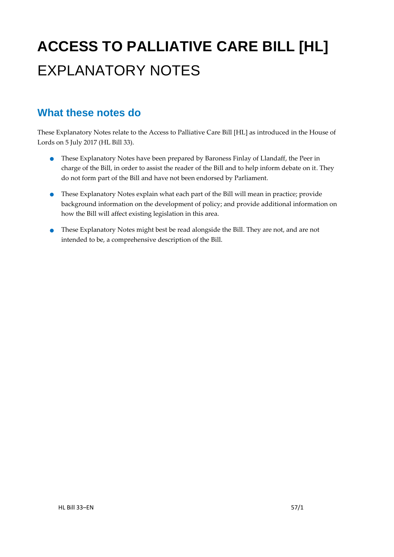# **ACCESS TO PALLIATIVE CARE BILL [HL]** EXPLANATORY NOTES

### **What these notes do**

These Explanatory Notes relate to the Access to Palliative Care Bill [HL] as introduced in the House of Lords on 5 July 2017 (HL Bill 33).

- These Explanatory Notes have been prepared by Baroness Finlay of Llandaff, the Peer in charge of the Bill, in order to assist the reader of the Bill and to help inform debate on it. They do not form part of the Bill and have not been endorsed by Parliament.
- These Explanatory Notes explain what each part of the Bill will mean in practice; provide background information on the development of policy; and provide additional information on how the Bill will affect existing legislation in this area.
- These Explanatory Notes might best be read alongside the Bill. They are not, and are not intended to be, a comprehensive description of the Bill.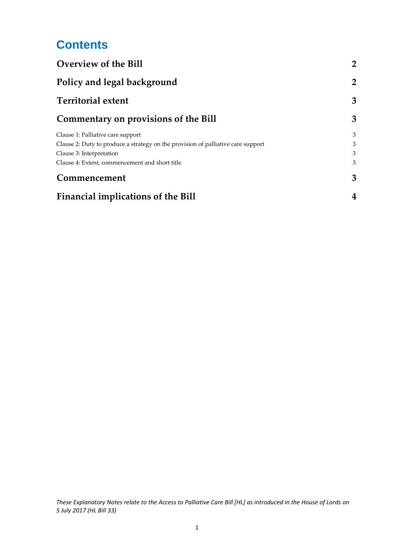## **Contents**

| <b>Overview of the Bill</b><br>Policy and legal background                       | $\overline{2}$<br>$\overline{2}$ |
|----------------------------------------------------------------------------------|----------------------------------|
|                                                                                  |                                  |
| Commentary on provisions of the Bill                                             | 3                                |
| Clause 1: Palliative care support                                                | 3                                |
| Clause 2: Duty to produce a strategy on the provision of palliative care support | 3                                |
| Clause 3: Interpretation                                                         | 3                                |
| Clause 4: Extent, commencement and short title                                   | 3                                |
| Commencement                                                                     | 3                                |
| <b>Financial implications of the Bill</b>                                        | 4                                |

*These Explanatory Notes relate to the Access to Palliative Care Bill [HL] as introduced in the House of Lords on 5 July 2017 (HL Bill 33)*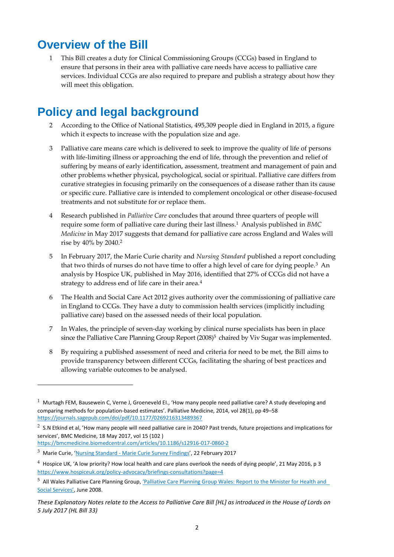### <span id="page-2-0"></span>**Overview of the Bill**

1 This Bill creates a duty for Clinical Commissioning Groups (CCGs) based in England to ensure that persons in their area with palliative care needs have access to palliative care services. Individual CCGs are also required to prepare and publish a strategy about how they will meet this obligation.

## <span id="page-2-1"></span>**Policy and legal background**

- 2 According to the Office of National Statistics, 495,309 people died in England in 2015, a figure which it expects to increase with the population size and age.
- 3 Palliative care means care which is delivered to seek to improve the quality of life of persons with life-limiting illness or approaching the end of life, through the prevention and relief of suffering by means of early identification, assessment, treatment and management of pain and other problems whether physical, psychological, social or spiritual. Palliative care differs from curative strategies in focusing primarily on the consequences of a disease rather than its cause or specific cure. Palliative care is intended to complement oncological or other disease-focused treatments and not substitute for or replace them.
- 4 Research published in *Palliative Care* concludes that around three quarters of people will require some form of palliative care during their last illness. <sup>1</sup> Analysis published in *BMC Medicine* in May 2017 suggests that demand for palliative care across England and Wales will rise by 40% by 2040.<sup>2</sup>
- 5 In February 2017, the Marie Curie charity and *Nursing Standard* published a report concluding that two thirds of nurses do not have time to offer a high level of care for dying people.<sup>3</sup> An analysis by Hospice UK, published in May 2016, identified that 27% of CCGs did not have a strategy to address end of life care in their area.<sup>4</sup>
- 6 The Health and Social Care Act 2012 gives authority over the commissioning of palliative care in England to CCGs. They have a duty to commission health services (implicitly including palliative care) based on the assessed needs of their local population.
- 7 In Wales, the principle of seven-day working by clinical nurse specialists has been in place since the Palliative Care Planning Group Report (2008)<sup>5</sup> chaired by Viv Sugar was implemented.
- 8 By requiring a published assessment of need and criteria for need to be met, the Bill aims to provide transparency between different CCGs, facilitating the sharing of best practices and allowing variable outcomes to be analysed.

 $\overline{a}$ 

 $1$  Murtagh FEM, Bausewein C, Verne J, Groeneveld EI., 'How many people need palliative care? A study developing and comparing methods for population-based estimates'. Palliative Medicine, 2014, vol 28(1), pp 49–58 <https://journals.sagepub.com/doi/pdf/10.1177/0269216313489367>

 $^2$  S.N Etkind et al, 'How many people will need palliative care in 2040? Past trends, future projections and implications for services', BMC Medicine, 18 May 2017, vol 15 (102 )

<https://bmcmedicine.biomedcentral.com/articles/10.1186/s12916-017-0860-2>

<sup>&</sup>lt;sup>3</sup> Marie Curie, 'Nursing Standard - [Marie Curie Survey Findings](https://www.mariecurie.org.uk/globalassets/media/documents/media-centre/2017/nursing-standard-marie-curie-survey-findings.pdf)', 22 February 2017

 $4$  Hospice UK, 'A low priority? How local health and care plans overlook the needs of dying people', 21 May 2016, p 3 <https://www.hospiceuk.org/policy-advocacy/briefings-consultations?page=4>

<sup>5</sup> All Wales Palliative Care Planning Group, ['Palliative Care Planning Group Wales: Report to the Minister for Health and](https://wales.pallcare.info/files/Sugar%20report%20july%202008.pdf)  [Social Services'](https://wales.pallcare.info/files/Sugar%20report%20july%202008.pdf), June 2008.

*These Explanatory Notes relate to the Access to Palliative Care Bill [HL] as introduced in the House of Lords on 5 July 2017 (HL Bill 33)*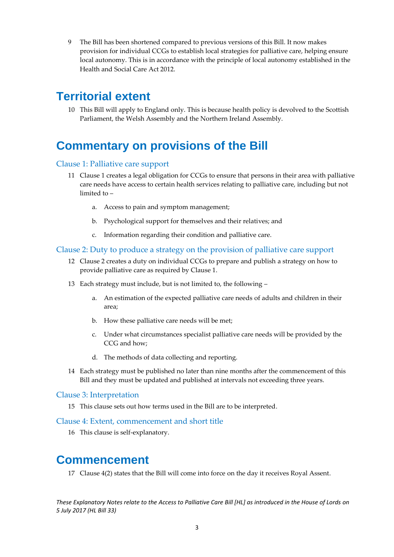9 The Bill has been shortened compared to previous versions of this Bill. It now makes provision for individual CCGs to establish local strategies for palliative care, helping ensure local autonomy. This is in accordance with the principle of local autonomy established in the Health and Social Care Act 2012.

### <span id="page-3-0"></span>**Territorial extent**

10 This Bill will apply to England only. This is because health policy is devolved to the Scottish Parliament, the Welsh Assembly and the Northern Ireland Assembly.

### <span id="page-3-1"></span>**Commentary on provisions of the Bill**

#### Clause 1: Palliative care support

- 11 Clause 1 creates a legal obligation for CCGs to ensure that persons in their area with palliative care needs have access to certain health services relating to palliative care, including but not limited to –
	- a. Access to pain and symptom management;
	- b. Psychological support for themselves and their relatives; and
	- c. Information regarding their condition and palliative care.

#### Clause 2: Duty to produce a strategy on the provision of palliative care support

- 12 Clause 2 creates a duty on individual CCGs to prepare and publish a strategy on how to provide palliative care as required by Clause 1.
- 13 Each strategy must include, but is not limited to, the following
	- a. An estimation of the expected palliative care needs of adults and children in their area;
	- b. How these palliative care needs will be met;
	- c. Under what circumstances specialist palliative care needs will be provided by the CCG and how;
	- d. The methods of data collecting and reporting.
- 14 Each strategy must be published no later than nine months after the commencement of this Bill and they must be updated and published at intervals not exceeding three years.

#### Clause 3: Interpretation

15 This clause sets out how terms used in the Bill are to be interpreted.

#### Clause 4: Extent, commencement and short title

16 This clause is self-explanatory.

### <span id="page-3-2"></span>**Commencement**

17 Clause 4(2) states that the Bill will come into force on the day it receives Royal Assent.

*These Explanatory Notes relate to the Access to Palliative Care Bill [HL] as introduced in the House of Lords on 5 July 2017 (HL Bill 33)*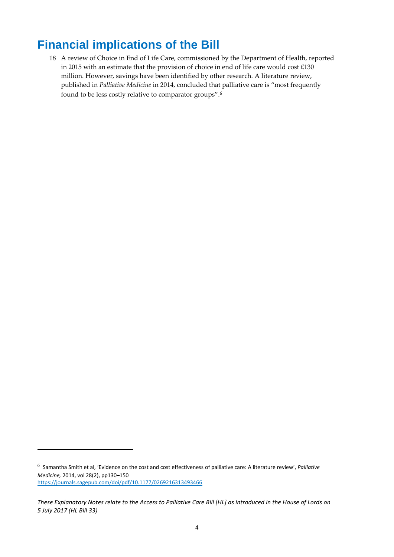### <span id="page-4-0"></span>**Financial implications of the Bill**

18 A review of Choice in End of Life Care, commissioned by the Department of Health, reported in 2015 with an estimate that the provision of choice in end of life care would cost £130 million. However, savings have been identified by other research. A literature review, published in *Palliative Medicine* in 2014, concluded that palliative care is "most frequently found to be less costly relative to comparator groups". 6

**.** 

<sup>6</sup> Samantha Smith et al, 'Evidence on the cost and cost effectiveness of palliative care: A literature review', *Palliative Medicine,* 2014, vol 28(2), pp130–150 <https://journals.sagepub.com/doi/pdf/10.1177/0269216313493466>

*These Explanatory Notes relate to the Access to Palliative Care Bill [HL] as introduced in the House of Lords on 5 July 2017 (HL Bill 33)*